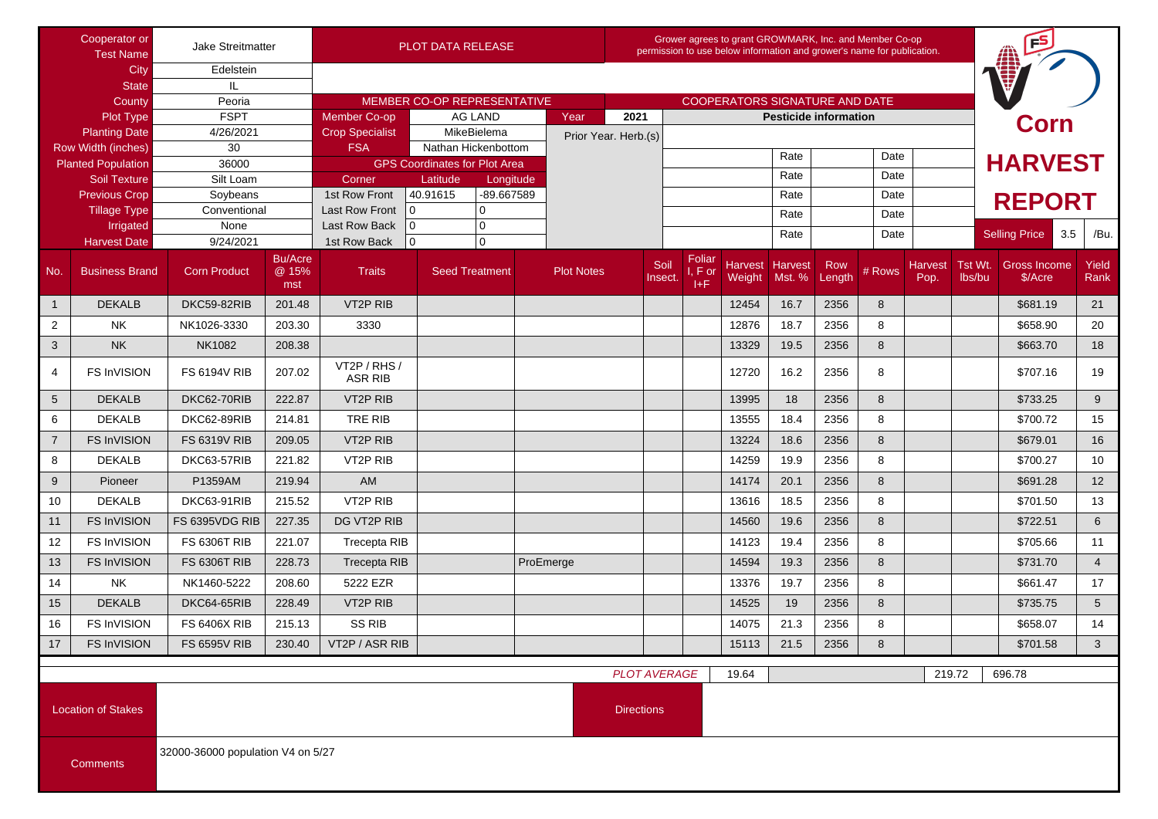| Cooperator or<br><b>Test Name</b>                |                           | Jake Streitmatter                                      |                                | <b>PLOT DATA RELEASE</b>       |                                                 |                   |                      | Grower agrees to grant GROWMARK, Inc. and Member Co-op<br>permission to use below information and grower's name for publication. |                                       |                           |                              |               |        |      |                | FS                                          |                 |
|--------------------------------------------------|---------------------------|--------------------------------------------------------|--------------------------------|--------------------------------|-------------------------------------------------|-------------------|----------------------|----------------------------------------------------------------------------------------------------------------------------------|---------------------------------------|---------------------------|------------------------------|---------------|--------|------|----------------|---------------------------------------------|-----------------|
| City                                             |                           | Edelstein                                              |                                |                                |                                                 |                   |                      |                                                                                                                                  |                                       |                           |                              |               |        |      |                |                                             |                 |
| <b>State</b>                                     |                           | IL                                                     |                                |                                |                                                 |                   |                      |                                                                                                                                  |                                       |                           |                              |               |        |      |                |                                             |                 |
| County                                           |                           | Peoria                                                 |                                | MEMBER CO-OP REPRESENTATIVE    |                                                 |                   |                      |                                                                                                                                  | <b>COOPERATORS SIGNATURE AND DATE</b> |                           |                              |               |        |      |                |                                             |                 |
| Plot Type                                        |                           | <b>FSPT</b>                                            |                                | <b>Member Co-op</b>            | AG LAND                                         | Year              |                      | 2021                                                                                                                             |                                       |                           | <b>Pesticide information</b> |               |        |      |                | <b>Corn</b>                                 |                 |
| <b>Planting Date</b>                             |                           | 4/26/2021                                              |                                | <b>Crop Specialist</b>         | MikeBielema                                     |                   | Prior Year. Herb.(s) |                                                                                                                                  |                                       |                           |                              |               |        |      |                |                                             |                 |
| Row Width (inches)                               |                           | 30                                                     |                                | <b>FSA</b>                     | Nathan Hickenbottom                             |                   |                      |                                                                                                                                  |                                       | Rate                      |                              | Date          |        |      | <b>HARVEST</b> |                                             |                 |
| <b>Planted Population</b><br><b>Soil Texture</b> |                           | 36000<br>Silt Loam                                     |                                | Corner                         | <b>GPS Coordinates for Plot Area</b>            |                   |                      |                                                                                                                                  |                                       |                           | Rate                         |               | Date   |      |                |                                             |                 |
| <b>Previous Crop</b>                             |                           | Soybeans                                               |                                | 1st Row Front                  | Latitude<br>Longitude<br>40.91615<br>-89.667589 |                   |                      |                                                                                                                                  |                                       |                           | Rate                         |               | Date   |      |                |                                             |                 |
| <b>Tillage Type</b>                              |                           | Conventional                                           |                                | <b>Last Row Front</b>          | l 0<br>$\mathbf 0$                              |                   |                      |                                                                                                                                  |                                       |                           |                              |               |        |      | <b>REPORT</b>  |                                             |                 |
| Irrigated                                        |                           | None                                                   |                                | Last Row Back                  | $\overline{0}$<br>$\mathbf 0$                   |                   |                      |                                                                                                                                  |                                       | Rate                      |                              | Date          |        |      |                |                                             |                 |
| <b>Harvest Date</b>                              |                           | 9/24/2021                                              |                                | 1st Row Back                   | $\overline{0}$<br>0                             |                   |                      |                                                                                                                                  |                                       |                           | Rate                         |               | Date   |      |                | <b>Selling Price</b><br>3.5                 | /Bu.            |
| No.                                              | <b>Business Brand</b>     | <b>Corn Product</b>                                    | <b>Bu/Acre</b><br>@ 15%<br>mst | <b>Traits</b>                  | <b>Seed Treatment</b>                           | <b>Plot Notes</b> |                      | Soil<br>Insect.                                                                                                                  | Foliar<br>I, F or<br>I+F              | Harvest Harvest<br>Weight | Mst. %                       | Row<br>Length | # Rows | Pop. | lbs/bu         | Harvest   Tst Wt.   Gross Income<br>\$/Acre | Yield<br>Rank   |
| $\overline{1}$                                   | <b>DEKALB</b>             | DKC59-82RIB                                            | 201.48                         | <b>VT2P RIB</b>                |                                                 |                   |                      |                                                                                                                                  |                                       | 12454                     | 16.7                         | 2356          | 8      |      |                | \$681.19                                    | 21              |
| $\overline{2}$                                   | <b>NK</b>                 | NK1026-3330                                            | 203.30                         | 3330                           |                                                 |                   |                      |                                                                                                                                  |                                       | 12876                     | 18.7                         | 2356          | 8      |      |                | \$658.90                                    | 20              |
| 3                                                | <b>NK</b>                 | <b>NK1082</b>                                          | 208.38                         |                                |                                                 |                   |                      |                                                                                                                                  |                                       | 13329                     | 19.5                         | 2356          | 8      |      |                | \$663.70                                    | 18              |
| 4                                                | <b>FS InVISION</b>        | <b>FS 6194V RIB</b>                                    | 207.02                         | VT2P / RHS /<br><b>ASR RIB</b> |                                                 |                   |                      |                                                                                                                                  |                                       | 12720                     | 16.2                         | 2356          | 8      |      |                | \$707.16                                    | 19              |
| $5\overline{)}$                                  | <b>DEKALB</b>             | DKC62-70RIB                                            | 222.87                         | VT2P RIB                       |                                                 |                   |                      |                                                                                                                                  |                                       | 13995                     | 18                           | 2356          | 8      |      |                | \$733.25                                    | 9               |
| 6                                                | <b>DEKALB</b>             | DKC62-89RIB                                            | 214.81                         | TRE RIB                        |                                                 |                   |                      |                                                                                                                                  |                                       | 13555                     | 18.4                         | 2356          | 8      |      |                | \$700.72                                    | 15              |
| $\overline{7}$                                   | <b>FS InVISION</b>        | <b>FS 6319V RIB</b>                                    | 209.05                         | VT <sub>2</sub> P RIB          |                                                 |                   |                      |                                                                                                                                  |                                       | 13224                     | 18.6                         | 2356          | 8      |      |                | \$679.01                                    | 16              |
| 8                                                | <b>DEKALB</b>             | DKC63-57RIB                                            | 221.82                         | VT2P RIB                       |                                                 |                   |                      |                                                                                                                                  |                                       | 14259                     | 19.9                         | 2356          | 8      |      |                | \$700.27                                    | 10              |
| 9                                                | Pioneer                   | P1359AM                                                | 219.94                         | AM                             |                                                 |                   |                      |                                                                                                                                  |                                       | 14174                     | 20.1                         | 2356          | 8      |      |                | \$691.28                                    | 12              |
| 10                                               | <b>DEKALB</b>             | DKC63-91RIB                                            | 215.52                         | VT <sub>2</sub> P RIB          |                                                 |                   |                      |                                                                                                                                  |                                       | 13616                     | 18.5                         | 2356          | 8      |      |                | \$701.50                                    | 13              |
| 11                                               | <b>FS InVISION</b>        | FS 6395VDG RIB                                         | 227.35                         | DG VT2P RIB                    |                                                 |                   |                      |                                                                                                                                  |                                       | 14560                     | 19.6                         | 2356          | 8      |      |                | \$722.51                                    | 6               |
| 12                                               | <b>FS InVISION</b>        | <b>FS 6306T RIB</b>                                    | 221.07                         | <b>Trecepta RIB</b>            |                                                 |                   |                      |                                                                                                                                  |                                       | 14123                     | 19.4                         | 2356          | 8      |      |                | \$705.66                                    | 11              |
| 13                                               | <b>FS InVISION</b>        | <b>FS 6306T RIB</b>                                    | 228.73                         | <b>Trecepta RIB</b>            |                                                 | ProEmerge         |                      |                                                                                                                                  |                                       | 14594                     | 19.3                         | 2356          | 8      |      |                | \$731.70                                    | $\overline{4}$  |
| 14                                               | <b>NK</b>                 | NK1460-5222                                            | 208.60                         | 5222 EZR                       |                                                 |                   |                      |                                                                                                                                  |                                       | 13376                     | 19.7                         | 2356          | 8      |      |                | \$661.47                                    | 17              |
| 15                                               | <b>DEKALB</b>             | DKC64-65RIB                                            | 228.49                         | VT <sub>2</sub> P RIB          |                                                 |                   |                      |                                                                                                                                  |                                       | 14525                     | 19                           | 2356          | 8      |      |                | \$735.75                                    | $5\overline{)}$ |
| 16                                               | <b>FS InVISION</b>        | <b>FS 6406X RIB</b>                                    | 215.13                         | <b>SS RIB</b>                  |                                                 |                   |                      |                                                                                                                                  |                                       | 14075                     | 21.3                         | 2356          | 8      |      |                | \$658.07                                    | 14              |
| $17\,$                                           | FS InVISION               | <b>FS 6595V RIB</b>                                    |                                | 230.40   VT2P / ASR RIB        |                                                 |                   |                      |                                                                                                                                  |                                       | 15113                     | 21.5                         | 2356          | 8      |      |                | \$701.58                                    | 3 <sup>1</sup>  |
| <b>PLOT AVERAGE</b><br>19.64<br>219.72           |                           |                                                        |                                |                                |                                                 |                   |                      |                                                                                                                                  |                                       |                           | 696.78                       |               |        |      |                |                                             |                 |
|                                                  | <b>Location of Stakes</b> | <b>Directions</b><br>32000-36000 population V4 on 5/27 |                                |                                |                                                 |                   |                      |                                                                                                                                  |                                       |                           |                              |               |        |      |                |                                             |                 |
| <b>Comments</b>                                  |                           |                                                        |                                |                                |                                                 |                   |                      |                                                                                                                                  |                                       |                           |                              |               |        |      |                |                                             |                 |